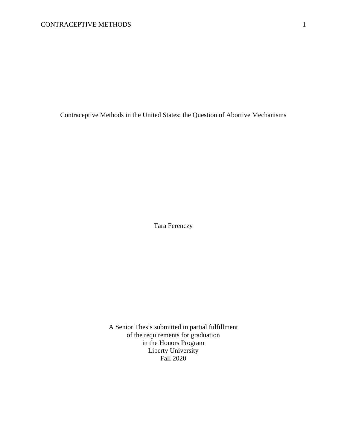Contraceptive Methods in the United States: the Question of Abortive Mechanisms

Tara Ferenczy

A Senior Thesis submitted in partial fulfillment of the requirements for graduation in the Honors Program Liberty University Fall 2020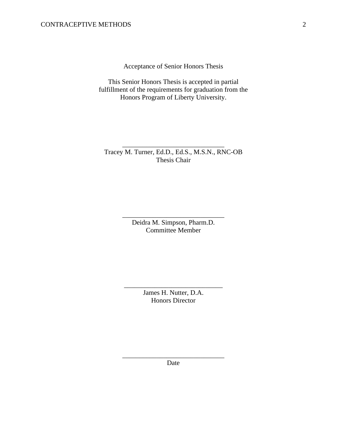Acceptance of Senior Honors Thesis

This Senior Honors Thesis is accepted in partial fulfillment of the requirements for graduation from the Honors Program of Liberty University.

Tracey M. Turner, Ed.D., Ed.S., M.S.N., RNC-OB Thesis Chair

\_\_\_\_\_\_\_\_\_\_\_\_\_\_\_\_\_\_\_\_\_\_\_\_\_\_\_\_\_\_

Deidra M. Simpson, Pharm.D. Committee Member

\_\_\_\_\_\_\_\_\_\_\_\_\_\_\_\_\_\_\_\_\_\_\_\_\_\_\_\_\_\_

James H. Nutter, D.A. Honors Director

\_\_\_\_\_\_\_\_\_\_\_\_\_\_\_\_\_\_\_\_\_\_\_\_\_\_\_\_\_

\_\_\_\_\_\_\_\_\_\_\_\_\_\_\_\_\_\_\_\_\_\_\_\_\_\_\_\_\_\_ Date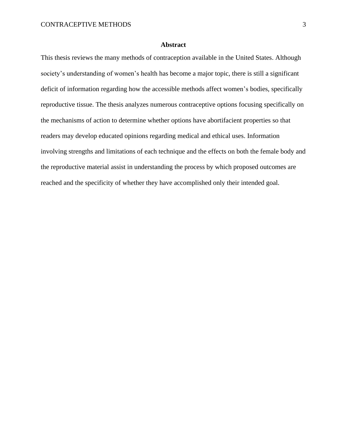# **Abstract**

This thesis reviews the many methods of contraception available in the United States. Although society's understanding of women's health has become a major topic, there is still a significant deficit of information regarding how the accessible methods affect women's bodies, specifically reproductive tissue. The thesis analyzes numerous contraceptive options focusing specifically on the mechanisms of action to determine whether options have abortifacient properties so that readers may develop educated opinions regarding medical and ethical uses. Information involving strengths and limitations of each technique and the effects on both the female body and the reproductive material assist in understanding the process by which proposed outcomes are reached and the specificity of whether they have accomplished only their intended goal.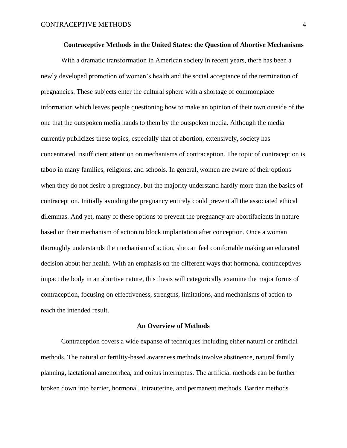With a dramatic transformation in American society in recent years, there has been a newly developed promotion of women's health and the social acceptance of the termination of pregnancies. These subjects enter the cultural sphere with a shortage of commonplace information which leaves people questioning how to make an opinion of their own outside of the one that the outspoken media hands to them by the outspoken media. Although the media currently publicizes these topics, especially that of abortion, extensively, society has concentrated insufficient attention on mechanisms of contraception. The topic of contraception is taboo in many families, religions, and schools. In general, women are aware of their options when they do not desire a pregnancy, but the majority understand hardly more than the basics of contraception. Initially avoiding the pregnancy entirely could prevent all the associated ethical dilemmas. And yet, many of these options to prevent the pregnancy are abortifacients in nature based on their mechanism of action to block implantation after conception. Once a woman thoroughly understands the mechanism of action, she can feel comfortable making an educated decision about her health. With an emphasis on the different ways that hormonal contraceptives impact the body in an abortive nature, this thesis will categorically examine the major forms of contraception, focusing on effectiveness, strengths, limitations, and mechanisms of action to reach the intended result.

#### **An Overview of Methods**

Contraception covers a wide expanse of techniques including either natural or artificial methods. The natural or fertility-based awareness methods involve abstinence, natural family planning, lactational amenorrhea, and coitus interruptus. The artificial methods can be further broken down into barrier, hormonal, intrauterine, and permanent methods. Barrier methods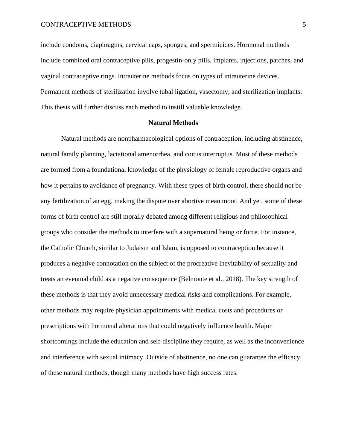include condoms, diaphragms, cervical caps, sponges, and spermicides. Hormonal methods include combined oral contraceptive pills, progestin-only pills, implants, injections, patches, and vaginal contraceptive rings. Intrauterine methods focus on types of intrauterine devices. Permanent methods of sterilization involve tubal ligation, vasectomy, and sterilization implants. This thesis will further discuss each method to instill valuable knowledge.

#### **Natural Methods**

Natural methods are nonpharmacological options of contraception, including abstinence, natural family planning, lactational amenorrhea, and coitus interruptus. Most of these methods are formed from a foundational knowledge of the physiology of female reproductive organs and how it pertains to avoidance of pregnancy. With these types of birth control, there should not be any fertilization of an egg, making the dispute over abortive mean moot. And yet, some of these forms of birth control are still morally debated among different religious and philosophical groups who consider the methods to interfere with a supernatural being or force. For instance, the Catholic Church, similar to Judaism and Islam, is opposed to contraception because it produces a negative connotation on the subject of the procreative inevitability of sexuality and treats an eventual child as a negative consequence (Belmonte et al., 2018). The key strength of these methods is that they avoid unnecessary medical risks and complications. For example, other methods may require physician appointments with medical costs and procedures or prescriptions with hormonal alterations that could negatively influence health. Major shortcomings include the education and self-discipline they require, as well as the inconvenience and interference with sexual intimacy. Outside of abstinence, no one can guarantee the efficacy of these natural methods, though many methods have high success rates.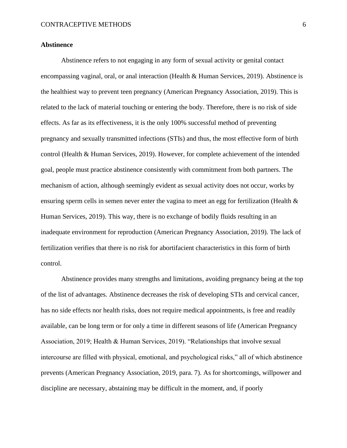## **Abstinence**

Abstinence refers to not engaging in any form of sexual activity or genital contact encompassing vaginal, oral, or anal interaction (Health & Human Services, 2019). Abstinence is the healthiest way to prevent teen pregnancy (American Pregnancy Association, 2019). This is related to the lack of material touching or entering the body. Therefore, there is no risk of side effects. As far as its effectiveness, it is the only 100% successful method of preventing pregnancy and sexually transmitted infections (STIs) and thus, the most effective form of birth control (Health & Human Services, 2019). However, for complete achievement of the intended goal, people must practice abstinence consistently with commitment from both partners. The mechanism of action, although seemingly evident as sexual activity does not occur, works by ensuring sperm cells in semen never enter the vagina to meet an egg for fertilization (Health & Human Services, 2019). This way, there is no exchange of bodily fluids resulting in an inadequate environment for reproduction (American Pregnancy Association, 2019). The lack of fertilization verifies that there is no risk for abortifacient characteristics in this form of birth control.

Abstinence provides many strengths and limitations, avoiding pregnancy being at the top of the list of advantages. Abstinence decreases the risk of developing STIs and cervical cancer, has no side effects nor health risks, does not require medical appointments, is free and readily available, can be long term or for only a time in different seasons of life (American Pregnancy Association, 2019; Health & Human Services, 2019). "Relationships that involve sexual intercourse are filled with physical, emotional, and psychological risks," all of which abstinence prevents (American Pregnancy Association, 2019, para. 7). As for shortcomings, willpower and discipline are necessary, abstaining may be difficult in the moment, and, if poorly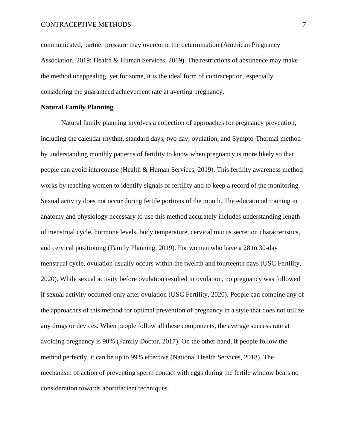communicated, partner pressure may overcome the determination (American Pregnancy Association, 2019; Health & Human Services, 2019). The restrictions of abstinence may make the method unappealing, yet for some, it is the ideal form of contraception, especially considering the guaranteed achievement rate at averting pregnancy.

## **Natural Family Planning**

Natural family planning involves a collection of approaches for pregnancy prevention, including the calendar rhythm, standard days, two day, ovulation, and Sympto-Thermal method by understanding monthly patterns of fertility to know when pregnancy is more likely so that people can avoid intercourse (Health & Human Services, 2019). This fertility awareness method works by teaching women to identify signals of fertility and to keep a record of the monitoring. Sexual activity does not occur during fertile portions of the month. The educational training in anatomy and physiology necessary to use this method accurately includes understanding length of menstrual cycle, hormone levels, body temperature, cervical mucus secretion characteristics, and cervical positioning (Family Planning, 2019). For women who have a 28 to 30-day menstrual cycle, ovulation usually occurs within the twelfth and fourteenth days (USC Fertility, 2020). While sexual activity before ovulation resulted in ovulation, no pregnancy was followed if sexual activity occurred only after ovulation (USC Fertility, 2020). People can combine any of the approaches of this method for optimal prevention of pregnancy in a style that does not utilize any drugs or devices. When people follow all these components, the average success rate at avoiding pregnancy is 90% (Family Doctor, 2017). On the other hand, if people follow the method perfectly, it can be up to 99% effective (National Health Services, 2018). The mechanism of action of preventing sperm contact with eggs during the fertile window bears no consideration towards abortifacient techniques.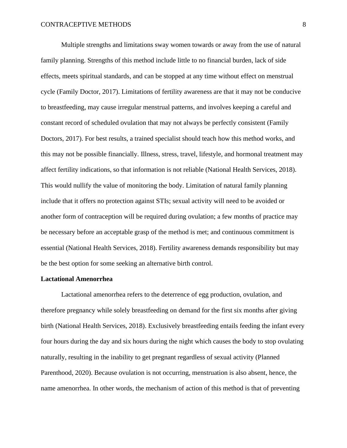Multiple strengths and limitations sway women towards or away from the use of natural family planning. Strengths of this method include little to no financial burden, lack of side effects, meets spiritual standards, and can be stopped at any time without effect on menstrual cycle (Family Doctor, 2017). Limitations of fertility awareness are that it may not be conducive to breastfeeding, may cause irregular menstrual patterns, and involves keeping a careful and constant record of scheduled ovulation that may not always be perfectly consistent (Family Doctors, 2017). For best results, a trained specialist should teach how this method works, and this may not be possible financially. Illness, stress, travel, lifestyle, and hormonal treatment may affect fertility indications, so that information is not reliable (National Health Services, 2018). This would nullify the value of monitoring the body. Limitation of natural family planning include that it offers no protection against STIs; sexual activity will need to be avoided or another form of contraception will be required during ovulation; a few months of practice may be necessary before an acceptable grasp of the method is met; and continuous commitment is essential (National Health Services, 2018). Fertility awareness demands responsibility but may be the best option for some seeking an alternative birth control.

#### **Lactational Amenorrhea**

Lactational amenorrhea refers to the deterrence of egg production, ovulation, and therefore pregnancy while solely breastfeeding on demand for the first six months after giving birth (National Health Services, 2018). Exclusively breastfeeding entails feeding the infant every four hours during the day and six hours during the night which causes the body to stop ovulating naturally, resulting in the inability to get pregnant regardless of sexual activity (Planned Parenthood, 2020). Because ovulation is not occurring, menstruation is also absent, hence, the name amenorrhea. In other words, the mechanism of action of this method is that of preventing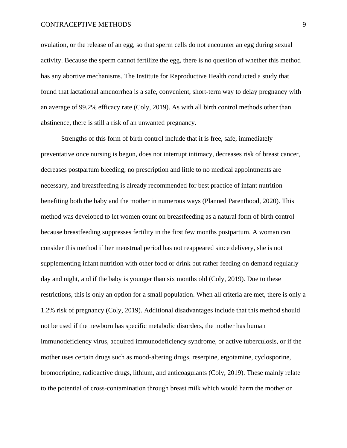ovulation, or the release of an egg, so that sperm cells do not encounter an egg during sexual activity. Because the sperm cannot fertilize the egg, there is no question of whether this method has any abortive mechanisms. The Institute for Reproductive Health conducted a study that found that lactational amenorrhea is a safe, convenient, short-term way to delay pregnancy with an average of 99.2% efficacy rate (Coly, 2019). As with all birth control methods other than abstinence, there is still a risk of an unwanted pregnancy.

Strengths of this form of birth control include that it is free, safe, immediately preventative once nursing is begun, does not interrupt intimacy, decreases risk of breast cancer, decreases postpartum bleeding, no prescription and little to no medical appointments are necessary, and breastfeeding is already recommended for best practice of infant nutrition benefiting both the baby and the mother in numerous ways (Planned Parenthood, 2020). This method was developed to let women count on breastfeeding as a natural form of birth control because breastfeeding suppresses fertility in the first few months postpartum. A woman can consider this method if her menstrual period has not reappeared since delivery, she is not supplementing infant nutrition with other food or drink but rather feeding on demand regularly day and night, and if the baby is younger than six months old (Coly, 2019). Due to these restrictions, this is only an option for a small population. When all criteria are met, there is only a 1.2% risk of pregnancy (Coly, 2019). Additional disadvantages include that this method should not be used if the newborn has specific metabolic disorders, the mother has human immunodeficiency virus, acquired immunodeficiency syndrome, or active tuberculosis, or if the mother uses certain drugs such as mood-altering drugs, reserpine, ergotamine, cyclosporine, bromocriptine, radioactive drugs, lithium, and anticoagulants (Coly, 2019). These mainly relate to the potential of cross-contamination through breast milk which would harm the mother or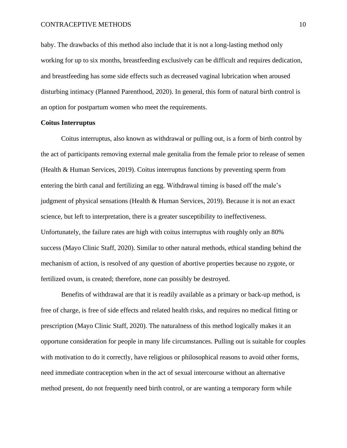baby. The drawbacks of this method also include that it is not a long-lasting method only working for up to six months, breastfeeding exclusively can be difficult and requires dedication, and breastfeeding has some side effects such as decreased vaginal lubrication when aroused disturbing intimacy (Planned Parenthood, 2020). In general, this form of natural birth control is an option for postpartum women who meet the requirements.

## **Coitus Interruptus**

Coitus interruptus, also known as withdrawal or pulling out, is a form of birth control by the act of participants removing external male genitalia from the female prior to release of semen (Health & Human Services, 2019). Coitus interruptus functions by preventing sperm from entering the birth canal and fertilizing an egg. Withdrawal timing is based off the male's judgment of physical sensations (Health & Human Services, 2019). Because it is not an exact science, but left to interpretation, there is a greater susceptibility to ineffectiveness. Unfortunately, the failure rates are high with coitus interruptus with roughly only an 80% success (Mayo Clinic Staff, 2020). Similar to other natural methods, ethical standing behind the mechanism of action, is resolved of any question of abortive properties because no zygote, or fertilized ovum, is created; therefore, none can possibly be destroyed.

Benefits of withdrawal are that it is readily available as a primary or back-up method, is free of charge, is free of side effects and related health risks, and requires no medical fitting or prescription (Mayo Clinic Staff, 2020). The naturalness of this method logically makes it an opportune consideration for people in many life circumstances. Pulling out is suitable for couples with motivation to do it correctly, have religious or philosophical reasons to avoid other forms, need immediate contraception when in the act of sexual intercourse without an alternative method present, do not frequently need birth control, or are wanting a temporary form while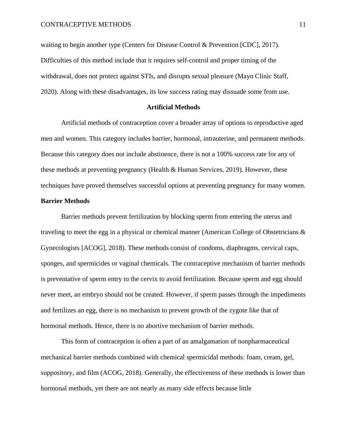waiting to begin another type (Centers for Disease Control & Prevention [CDC], 2017). Difficulties of this method include that it requires self-control and proper timing of the withdrawal, does not protect against STIs, and disrupts sexual pleasure (Mayo Clinic Staff, 2020). Along with these disadvantages, its low success rating may dissuade some from use.

#### **Artificial Methods**

Artificial methods of contraception cover a broader array of options to reproductive aged men and women. This category includes barrier, hormonal, intrauterine, and permanent methods. Because this category does not include abstinence, there is not a 100% success rate for any of these methods at preventing pregnancy (Health & Human Services, 2019). However, these techniques have proved themselves successful options at preventing pregnancy for many women.

## **Barrier Methods**

Barrier methods prevent fertilization by blocking sperm from entering the uterus and traveling to meet the egg in a physical or chemical manner (American College of Obstetricians & Gynecologists [ACOG], 2018). These methods consist of condoms, diaphragms, cervical caps, sponges, and spermicides or vaginal chemicals. The contraceptive mechanism of barrier methods is preventative of sperm entry to the cervix to avoid fertilization. Because sperm and egg should never meet, an embryo should not be created. However, if sperm passes through the impediments and fertilizes an egg, there is no mechanism to prevent growth of the zygote like that of hormonal methods. Hence, there is no abortive mechanism of barrier methods.

This form of contraception is often a part of an amalgamation of nonpharmaceutical mechanical barrier methods combined with chemical spermicidal methods: foam, cream, gel, suppository, and film (ACOG, 2018). Generally, the effectiveness of these methods is lower than hormonal methods, yet there are not nearly as many side effects because little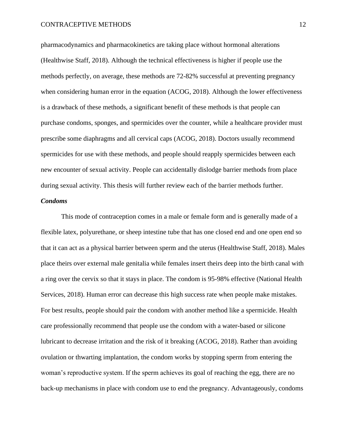pharmacodynamics and pharmacokinetics are taking place without hormonal alterations (Healthwise Staff, 2018). Although the technical effectiveness is higher if people use the methods perfectly, on average, these methods are 72-82% successful at preventing pregnancy when considering human error in the equation (ACOG, 2018). Although the lower effectiveness is a drawback of these methods, a significant benefit of these methods is that people can purchase condoms, sponges, and spermicides over the counter, while a healthcare provider must prescribe some diaphragms and all cervical caps (ACOG, 2018). Doctors usually recommend spermicides for use with these methods, and people should reapply spermicides between each new encounter of sexual activity. People can accidentally dislodge barrier methods from place during sexual activity. This thesis will further review each of the barrier methods further.

## *Condoms*

This mode of contraception comes in a male or female form and is generally made of a flexible latex, polyurethane, or sheep intestine tube that has one closed end and one open end so that it can act as a physical barrier between sperm and the uterus (Healthwise Staff, 2018). Males place theirs over external male genitalia while females insert theirs deep into the birth canal with a ring over the cervix so that it stays in place. The condom is 95-98% effective (National Health Services, 2018). Human error can decrease this high success rate when people make mistakes. For best results, people should pair the condom with another method like a spermicide. Health care professionally recommend that people use the condom with a water-based or silicone lubricant to decrease irritation and the risk of it breaking (ACOG, 2018). Rather than avoiding ovulation or thwarting implantation, the condom works by stopping sperm from entering the woman's reproductive system. If the sperm achieves its goal of reaching the egg, there are no back-up mechanisms in place with condom use to end the pregnancy. Advantageously, condoms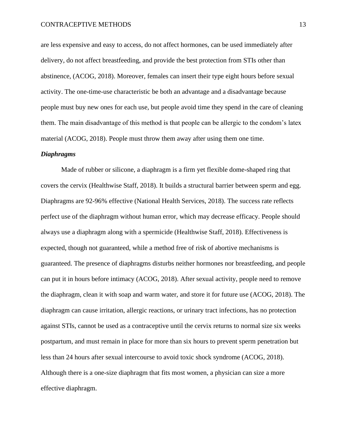are less expensive and easy to access, do not affect hormones, can be used immediately after delivery, do not affect breastfeeding, and provide the best protection from STIs other than abstinence, (ACOG, 2018). Moreover, females can insert their type eight hours before sexual activity. The one-time-use characteristic be both an advantage and a disadvantage because people must buy new ones for each use, but people avoid time they spend in the care of cleaning them. The main disadvantage of this method is that people can be allergic to the condom's latex material (ACOG, 2018). People must throw them away after using them one time.

## *Diaphragms*

Made of rubber or silicone, a diaphragm is a firm yet flexible dome-shaped ring that covers the cervix (Healthwise Staff, 2018). It builds a structural barrier between sperm and egg. Diaphragms are 92-96% effective (National Health Services, 2018). The success rate reflects perfect use of the diaphragm without human error, which may decrease efficacy. People should always use a diaphragm along with a spermicide (Healthwise Staff, 2018). Effectiveness is expected, though not guaranteed, while a method free of risk of abortive mechanisms is guaranteed. The presence of diaphragms disturbs neither hormones nor breastfeeding, and people can put it in hours before intimacy (ACOG, 2018). After sexual activity, people need to remove the diaphragm, clean it with soap and warm water, and store it for future use (ACOG, 2018). The diaphragm can cause irritation, allergic reactions, or urinary tract infections, has no protection against STIs, cannot be used as a contraceptive until the cervix returns to normal size six weeks postpartum, and must remain in place for more than six hours to prevent sperm penetration but less than 24 hours after sexual intercourse to avoid toxic shock syndrome (ACOG, 2018). Although there is a one-size diaphragm that fits most women, a physician can size a more effective diaphragm.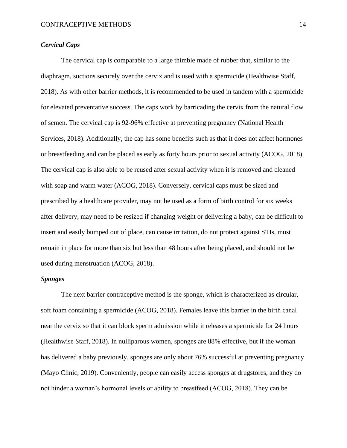# *Cervical Caps*

The cervical cap is comparable to a large thimble made of rubber that, similar to the diaphragm, suctions securely over the cervix and is used with a spermicide (Healthwise Staff, 2018). As with other barrier methods, it is recommended to be used in tandem with a spermicide for elevated preventative success. The caps work by barricading the cervix from the natural flow of semen. The cervical cap is 92-96% effective at preventing pregnancy (National Health Services, 2018). Additionally, the cap has some benefits such as that it does not affect hormones or breastfeeding and can be placed as early as forty hours prior to sexual activity (ACOG, 2018). The cervical cap is also able to be reused after sexual activity when it is removed and cleaned with soap and warm water (ACOG, 2018). Conversely, cervical caps must be sized and prescribed by a healthcare provider, may not be used as a form of birth control for six weeks after delivery, may need to be resized if changing weight or delivering a baby, can be difficult to insert and easily bumped out of place, can cause irritation, do not protect against STIs, must remain in place for more than six but less than 48 hours after being placed, and should not be used during menstruation (ACOG, 2018).

# *Sponges*

The next barrier contraceptive method is the sponge, which is characterized as circular, soft foam containing a spermicide (ACOG, 2018). Females leave this barrier in the birth canal near the cervix so that it can block sperm admission while it releases a spermicide for 24 hours (Healthwise Staff, 2018). In nulliparous women, sponges are 88% effective, but if the woman has delivered a baby previously, sponges are only about 76% successful at preventing pregnancy (Mayo Clinic, 2019). Conveniently, people can easily access sponges at drugstores, and they do not hinder a woman's hormonal levels or ability to breastfeed (ACOG, 2018). They can be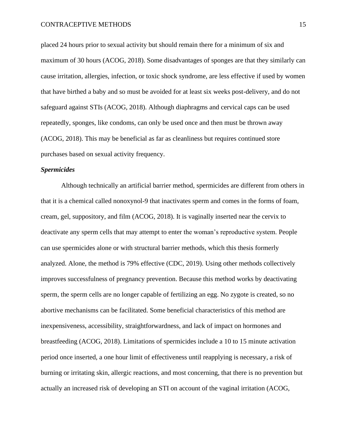placed 24 hours prior to sexual activity but should remain there for a minimum of six and maximum of 30 hours (ACOG, 2018). Some disadvantages of sponges are that they similarly can cause irritation, allergies, infection, or toxic shock syndrome, are less effective if used by women that have birthed a baby and so must be avoided for at least six weeks post-delivery, and do not safeguard against STIs (ACOG, 2018). Although diaphragms and cervical caps can be used repeatedly, sponges, like condoms, can only be used once and then must be thrown away (ACOG, 2018). This may be beneficial as far as cleanliness but requires continued store purchases based on sexual activity frequency.

## *Spermicides*

Although technically an artificial barrier method, spermicides are different from others in that it is a chemical called nonoxynol-9 that inactivates sperm and comes in the forms of foam, cream, gel, suppository, and film (ACOG, 2018). It is vaginally inserted near the cervix to deactivate any sperm cells that may attempt to enter the woman's reproductive system. People can use spermicides alone or with structural barrier methods, which this thesis formerly analyzed. Alone, the method is 79% effective (CDC, 2019). Using other methods collectively improves successfulness of pregnancy prevention. Because this method works by deactivating sperm, the sperm cells are no longer capable of fertilizing an egg. No zygote is created, so no abortive mechanisms can be facilitated. Some beneficial characteristics of this method are inexpensiveness, accessibility, straightforwardness, and lack of impact on hormones and breastfeeding (ACOG, 2018). Limitations of spermicides include a 10 to 15 minute activation period once inserted, a one hour limit of effectiveness until reapplying is necessary, a risk of burning or irritating skin, allergic reactions, and most concerning, that there is no prevention but actually an increased risk of developing an STI on account of the vaginal irritation (ACOG,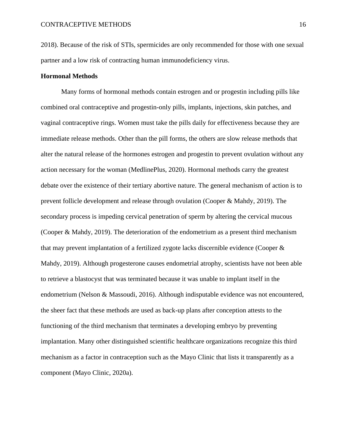2018). Because of the risk of STIs, spermicides are only recommended for those with one sexual partner and a low risk of contracting human immunodeficiency virus.

## **Hormonal Methods**

Many forms of hormonal methods contain estrogen and or progestin including pills like combined oral contraceptive and progestin-only pills, implants, injections, skin patches, and vaginal contraceptive rings. Women must take the pills daily for effectiveness because they are immediate release methods. Other than the pill forms, the others are slow release methods that alter the natural release of the hormones estrogen and progestin to prevent ovulation without any action necessary for the woman (MedlinePlus, 2020). Hormonal methods carry the greatest debate over the existence of their tertiary abortive nature. The general mechanism of action is to prevent follicle development and release through ovulation (Cooper & Mahdy, 2019). The secondary process is impeding cervical penetration of sperm by altering the cervical mucous (Cooper & Mahdy, 2019). The deterioration of the endometrium as a present third mechanism that may prevent implantation of a fertilized zygote lacks discernible evidence (Cooper & Mahdy, 2019). Although progesterone causes endometrial atrophy, scientists have not been able to retrieve a blastocyst that was terminated because it was unable to implant itself in the endometrium (Nelson & Massoudi, 2016). Although indisputable evidence was not encountered, the sheer fact that these methods are used as back-up plans after conception attests to the functioning of the third mechanism that terminates a developing embryo by preventing implantation. Many other distinguished scientific healthcare organizations recognize this third mechanism as a factor in contraception such as the Mayo Clinic that lists it transparently as a component (Mayo Clinic, 2020a).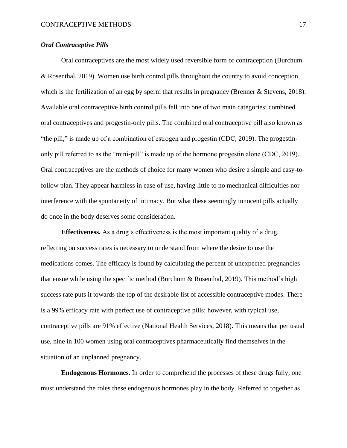## *Oral Contraceptive Pills*

Oral contraceptives are the most widely used reversible form of contraception (Burchum & Rosenthal, 2019). Women use birth control pills throughout the country to avoid conception, which is the fertilization of an egg by sperm that results in pregnancy (Brenner & Stevens, 2018). Available oral contraceptive birth control pills fall into one of two main categories: combined oral contraceptives and progestin-only pills. The combined oral contraceptive pill also known as "the pill," is made up of a combination of estrogen and progestin (CDC, 2019). The progestinonly pill referred to as the "mini-pill" is made up of the hormone progestin alone (CDC, 2019). Oral contraceptives are the methods of choice for many women who desire a simple and easy-tofollow plan. They appear harmless in ease of use, having little to no mechanical difficulties nor interference with the spontaneity of intimacy. But what these seemingly innocent pills actually do once in the body deserves some consideration.

**Effectiveness.** As a drug's effectiveness is the most important quality of a drug, reflecting on success rates is necessary to understand from where the desire to use the medications comes. The efficacy is found by calculating the percent of unexpected pregnancies that ensue while using the specific method (Burchum & Rosenthal, 2019). This method's high success rate puts it towards the top of the desirable list of accessible contraceptive modes. There is a 99% efficacy rate with perfect use of contraceptive pills; however, with typical use, contraceptive pills are 91% effective (National Health Services, 2018). This means that per usual use, nine in 100 women using oral contraceptives pharmaceutically find themselves in the situation of an unplanned pregnancy.

**Endogenous Hormones.** In order to comprehend the processes of these drugs fully, one must understand the roles these endogenous hormones play in the body. Referred to together as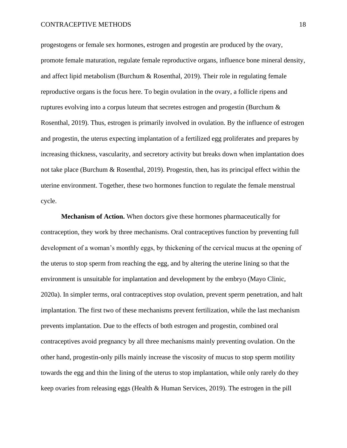progestogens or female sex hormones, estrogen and progestin are produced by the ovary, promote female maturation, regulate female reproductive organs, influence bone mineral density, and affect lipid metabolism (Burchum & Rosenthal, 2019). Their role in regulating female reproductive organs is the focus here. To begin ovulation in the ovary, a follicle ripens and ruptures evolving into a corpus luteum that secretes estrogen and progestin (Burchum & Rosenthal, 2019). Thus, estrogen is primarily involved in ovulation. By the influence of estrogen and progestin, the uterus expecting implantation of a fertilized egg proliferates and prepares by increasing thickness, vascularity, and secretory activity but breaks down when implantation does not take place (Burchum & Rosenthal, 2019). Progestin, then, has its principal effect within the uterine environment. Together, these two hormones function to regulate the female menstrual cycle.

**Mechanism of Action.** When doctors give these hormones pharmaceutically for contraception, they work by three mechanisms. Oral contraceptives function by preventing full development of a woman's monthly eggs, by thickening of the cervical mucus at the opening of the uterus to stop sperm from reaching the egg, and by altering the uterine lining so that the environment is unsuitable for implantation and development by the embryo (Mayo Clinic, 2020a). In simpler terms, oral contraceptives stop ovulation, prevent sperm penetration, and halt implantation. The first two of these mechanisms prevent fertilization, while the last mechanism prevents implantation. Due to the effects of both estrogen and progestin, combined oral contraceptives avoid pregnancy by all three mechanisms mainly preventing ovulation. On the other hand, progestin-only pills mainly increase the viscosity of mucus to stop sperm motility towards the egg and thin the lining of the uterus to stop implantation, while only rarely do they keep ovaries from releasing eggs (Health & Human Services, 2019). The estrogen in the pill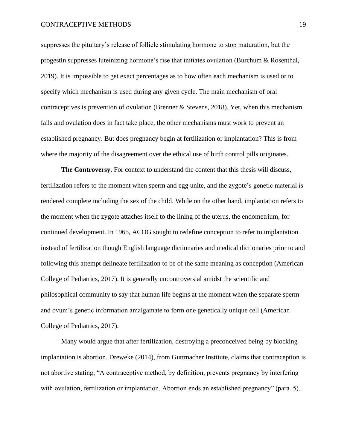suppresses the pituitary's release of follicle stimulating hormone to stop maturation, but the progestin suppresses luteinizing hormone's rise that initiates ovulation (Burchum & Rosenthal, 2019). It is impossible to get exact percentages as to how often each mechanism is used or to specify which mechanism is used during any given cycle. The main mechanism of oral contraceptives is prevention of ovulation (Brenner & Stevens, 2018). Yet, when this mechanism fails and ovulation does in fact take place, the other mechanisms must work to prevent an established pregnancy. But does pregnancy begin at fertilization or implantation? This is from where the majority of the disagreement over the ethical use of birth control pills originates.

**The Controversy.** For context to understand the content that this thesis will discuss, fertilization refers to the moment when sperm and egg unite, and the zygote's genetic material is rendered complete including the sex of the child. While on the other hand, implantation refers to the moment when the zygote attaches itself to the lining of the uterus, the endometrium, for continued development. In 1965, ACOG sought to redefine conception to refer to implantation instead of fertilization though English language dictionaries and medical dictionaries prior to and following this attempt delineate fertilization to be of the same meaning as conception (American College of Pediatrics, 2017). It is generally uncontroversial amidst the scientific and philosophical community to say that human life begins at the moment when the separate sperm and ovum's genetic information amalgamate to form one genetically unique cell (American College of Pediatrics, 2017).

Many would argue that after fertilization, destroying a preconceived being by blocking implantation is abortion. Dreweke (2014), from Guttmacher Institute, claims that contraception is not abortive stating, "A contraceptive method, by definition, prevents pregnancy by interfering with ovulation, fertilization or implantation. Abortion ends an established pregnancy" (para. 5).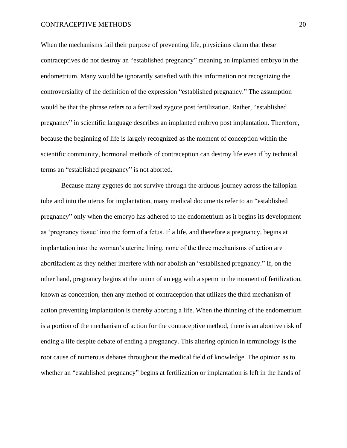When the mechanisms fail their purpose of preventing life, physicians claim that these contraceptives do not destroy an "established pregnancy" meaning an implanted embryo in the endometrium. Many would be ignorantly satisfied with this information not recognizing the controversiality of the definition of the expression "established pregnancy." The assumption would be that the phrase refers to a fertilized zygote post fertilization. Rather, "established pregnancy" in scientific language describes an implanted embryo post implantation. Therefore, because the beginning of life is largely recognized as the moment of conception within the scientific community, hormonal methods of contraception can destroy life even if by technical terms an "established pregnancy" is not aborted.

Because many zygotes do not survive through the arduous journey across the fallopian tube and into the uterus for implantation, many medical documents refer to an "established pregnancy" only when the embryo has adhered to the endometrium as it begins its development as 'pregnancy tissue' into the form of a fetus. If a life, and therefore a pregnancy, begins at implantation into the woman's uterine lining, none of the three mechanisms of action are abortifacient as they neither interfere with nor abolish an "established pregnancy." If, on the other hand, pregnancy begins at the union of an egg with a sperm in the moment of fertilization, known as conception, then any method of contraception that utilizes the third mechanism of action preventing implantation is thereby aborting a life. When the thinning of the endometrium is a portion of the mechanism of action for the contraceptive method, there is an abortive risk of ending a life despite debate of ending a pregnancy. This altering opinion in terminology is the root cause of numerous debates throughout the medical field of knowledge. The opinion as to whether an "established pregnancy" begins at fertilization or implantation is left in the hands of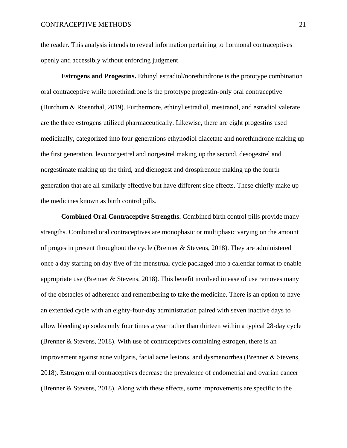the reader. This analysis intends to reveal information pertaining to hormonal contraceptives openly and accessibly without enforcing judgment.

**Estrogens and Progestins.** Ethinyl estradiol/norethindrone is the prototype combination oral contraceptive while norethindrone is the prototype progestin-only oral contraceptive (Burchum & Rosenthal, 2019). Furthermore, ethinyl estradiol, mestranol, and estradiol valerate are the three estrogens utilized pharmaceutically. Likewise, there are eight progestins used medicinally, categorized into four generations ethynodiol diacetate and norethindrone making up the first generation, levonorgestrel and norgestrel making up the second, desogestrel and norgestimate making up the third, and dienogest and drospirenone making up the fourth generation that are all similarly effective but have different side effects. These chiefly make up the medicines known as birth control pills.

**Combined Oral Contraceptive Strengths.** Combined birth control pills provide many strengths. Combined oral contraceptives are monophasic or multiphasic varying on the amount of progestin present throughout the cycle (Brenner & Stevens, 2018). They are administered once a day starting on day five of the menstrual cycle packaged into a calendar format to enable appropriate use (Brenner & Stevens, 2018). This benefit involved in ease of use removes many of the obstacles of adherence and remembering to take the medicine. There is an option to have an extended cycle with an eighty-four-day administration paired with seven inactive days to allow bleeding episodes only four times a year rather than thirteen within a typical 28-day cycle (Brenner & Stevens, 2018). With use of contraceptives containing estrogen, there is an improvement against acne vulgaris, facial acne lesions, and dysmenorrhea (Brenner & Stevens, 2018). Estrogen oral contraceptives decrease the prevalence of endometrial and ovarian cancer (Brenner & Stevens, 2018). Along with these effects, some improvements are specific to the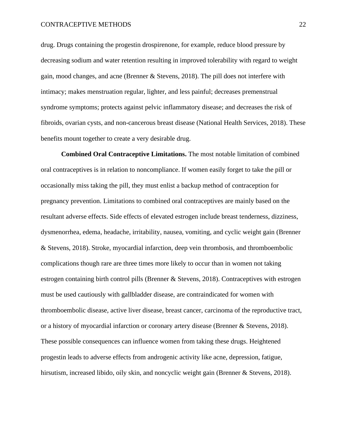drug. Drugs containing the progestin drospirenone, for example, reduce blood pressure by decreasing sodium and water retention resulting in improved tolerability with regard to weight gain, mood changes, and acne (Brenner & Stevens, 2018). The pill does not interfere with intimacy; makes menstruation regular, lighter, and less painful; decreases premenstrual syndrome symptoms; protects against pelvic inflammatory disease; and decreases the risk of fibroids, ovarian cysts, and non-cancerous breast disease (National Health Services, 2018). These benefits mount together to create a very desirable drug.

**Combined Oral Contraceptive Limitations.** The most notable limitation of combined oral contraceptives is in relation to noncompliance. If women easily forget to take the pill or occasionally miss taking the pill, they must enlist a backup method of contraception for pregnancy prevention. Limitations to combined oral contraceptives are mainly based on the resultant adverse effects. Side effects of elevated estrogen include breast tenderness, dizziness, dysmenorrhea, edema, headache, irritability, nausea, vomiting, and cyclic weight gain (Brenner & Stevens, 2018). Stroke, myocardial infarction, deep vein thrombosis, and thromboembolic complications though rare are three times more likely to occur than in women not taking estrogen containing birth control pills (Brenner & Stevens, 2018). Contraceptives with estrogen must be used cautiously with gallbladder disease, are contraindicated for women with thromboembolic disease, active liver disease, breast cancer, carcinoma of the reproductive tract, or a history of myocardial infarction or coronary artery disease (Brenner & Stevens, 2018). These possible consequences can influence women from taking these drugs. Heightened progestin leads to adverse effects from androgenic activity like acne, depression, fatigue, hirsutism, increased libido, oily skin, and noncyclic weight gain (Brenner & Stevens, 2018).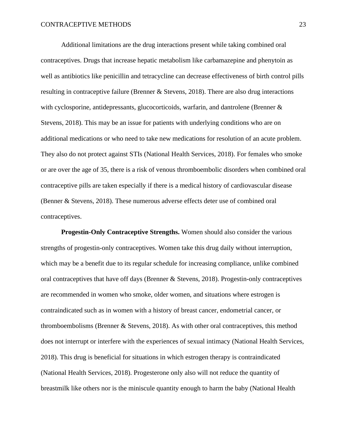Additional limitations are the drug interactions present while taking combined oral contraceptives. Drugs that increase hepatic metabolism like carbamazepine and phenytoin as well as antibiotics like penicillin and tetracycline can decrease effectiveness of birth control pills resulting in contraceptive failure (Brenner & Stevens, 2018). There are also drug interactions with cyclosporine, antidepressants, glucocorticoids, warfarin, and dantrolene (Brenner & Stevens, 2018). This may be an issue for patients with underlying conditions who are on additional medications or who need to take new medications for resolution of an acute problem. They also do not protect against STIs (National Health Services, 2018). For females who smoke or are over the age of 35, there is a risk of venous thromboembolic disorders when combined oral contraceptive pills are taken especially if there is a medical history of cardiovascular disease (Benner & Stevens, 2018). These numerous adverse effects deter use of combined oral contraceptives.

**Progestin-Only Contraceptive Strengths.** Women should also consider the various strengths of progestin-only contraceptives. Women take this drug daily without interruption, which may be a benefit due to its regular schedule for increasing compliance, unlike combined oral contraceptives that have off days (Brenner & Stevens, 2018). Progestin-only contraceptives are recommended in women who smoke, older women, and situations where estrogen is contraindicated such as in women with a history of breast cancer, endometrial cancer, or thromboembolisms (Brenner & Stevens, 2018). As with other oral contraceptives, this method does not interrupt or interfere with the experiences of sexual intimacy (National Health Services, 2018). This drug is beneficial for situations in which estrogen therapy is contraindicated (National Health Services, 2018). Progesterone only also will not reduce the quantity of breastmilk like others nor is the miniscule quantity enough to harm the baby (National Health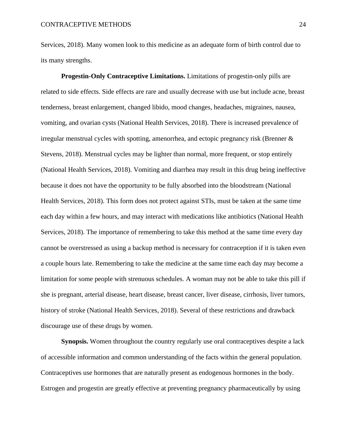Services, 2018). Many women look to this medicine as an adequate form of birth control due to its many strengths.

**Progestin-Only Contraceptive Limitations.** Limitations of progestin-only pills are related to side effects. Side effects are rare and usually decrease with use but include acne, breast tenderness, breast enlargement, changed libido, mood changes, headaches, migraines, nausea, vomiting, and ovarian cysts (National Health Services, 2018). There is increased prevalence of irregular menstrual cycles with spotting, amenorrhea, and ectopic pregnancy risk (Brenner  $\&$ Stevens, 2018). Menstrual cycles may be lighter than normal, more frequent, or stop entirely (National Health Services, 2018). Vomiting and diarrhea may result in this drug being ineffective because it does not have the opportunity to be fully absorbed into the bloodstream (National Health Services, 2018). This form does not protect against STIs, must be taken at the same time each day within a few hours, and may interact with medications like antibiotics (National Health Services, 2018). The importance of remembering to take this method at the same time every day cannot be overstressed as using a backup method is necessary for contraception if it is taken even a couple hours late. Remembering to take the medicine at the same time each day may become a limitation for some people with strenuous schedules. A woman may not be able to take this pill if she is pregnant, arterial disease, heart disease, breast cancer, liver disease, cirrhosis, liver tumors, history of stroke (National Health Services, 2018). Several of these restrictions and drawback discourage use of these drugs by women.

**Synopsis.** Women throughout the country regularly use oral contraceptives despite a lack of accessible information and common understanding of the facts within the general population. Contraceptives use hormones that are naturally present as endogenous hormones in the body. Estrogen and progestin are greatly effective at preventing pregnancy pharmaceutically by using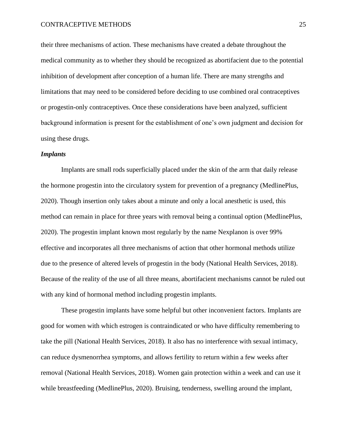their three mechanisms of action. These mechanisms have created a debate throughout the medical community as to whether they should be recognized as abortifacient due to the potential inhibition of development after conception of a human life. There are many strengths and limitations that may need to be considered before deciding to use combined oral contraceptives or progestin-only contraceptives. Once these considerations have been analyzed, sufficient background information is present for the establishment of one's own judgment and decision for using these drugs.

#### *Implants*

Implants are small rods superficially placed under the skin of the arm that daily release the hormone progestin into the circulatory system for prevention of a pregnancy (MedlinePlus, 2020). Though insertion only takes about a minute and only a local anesthetic is used, this method can remain in place for three years with removal being a continual option (MedlinePlus, 2020). The progestin implant known most regularly by the name Nexplanon is over 99% effective and incorporates all three mechanisms of action that other hormonal methods utilize due to the presence of altered levels of progestin in the body (National Health Services, 2018). Because of the reality of the use of all three means, abortifacient mechanisms cannot be ruled out with any kind of hormonal method including progestin implants.

These progestin implants have some helpful but other inconvenient factors. Implants are good for women with which estrogen is contraindicated or who have difficulty remembering to take the pill (National Health Services, 2018). It also has no interference with sexual intimacy, can reduce dysmenorrhea symptoms, and allows fertility to return within a few weeks after removal (National Health Services, 2018). Women gain protection within a week and can use it while breastfeeding (MedlinePlus, 2020). Bruising, tenderness, swelling around the implant,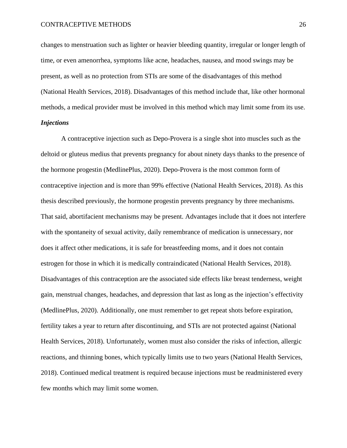changes to menstruation such as lighter or heavier bleeding quantity, irregular or longer length of time, or even amenorrhea, symptoms like acne, headaches, nausea, and mood swings may be present, as well as no protection from STIs are some of the disadvantages of this method (National Health Services, 2018). Disadvantages of this method include that, like other hormonal methods, a medical provider must be involved in this method which may limit some from its use. *Injections*

A contraceptive injection such as Depo-Provera is a single shot into muscles such as the deltoid or gluteus medius that prevents pregnancy for about ninety days thanks to the presence of the hormone progestin (MedlinePlus, 2020). Depo-Provera is the most common form of contraceptive injection and is more than 99% effective (National Health Services, 2018). As this thesis described previously, the hormone progestin prevents pregnancy by three mechanisms. That said, abortifacient mechanisms may be present. Advantages include that it does not interfere with the spontaneity of sexual activity, daily remembrance of medication is unnecessary, nor does it affect other medications, it is safe for breastfeeding moms, and it does not contain estrogen for those in which it is medically contraindicated (National Health Services, 2018). Disadvantages of this contraception are the associated side effects like breast tenderness, weight gain, menstrual changes, headaches, and depression that last as long as the injection's effectivity (MedlinePlus, 2020). Additionally, one must remember to get repeat shots before expiration, fertility takes a year to return after discontinuing, and STIs are not protected against (National Health Services, 2018). Unfortunately, women must also consider the risks of infection, allergic reactions, and thinning bones, which typically limits use to two years (National Health Services, 2018). Continued medical treatment is required because injections must be readministered every few months which may limit some women.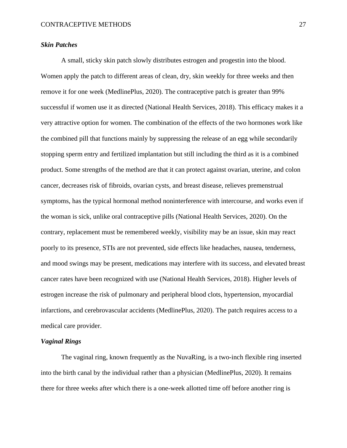## *Skin Patches*

A small, sticky skin patch slowly distributes estrogen and progestin into the blood. Women apply the patch to different areas of clean, dry, skin weekly for three weeks and then remove it for one week (MedlinePlus, 2020). The contraceptive patch is greater than 99% successful if women use it as directed (National Health Services, 2018). This efficacy makes it a very attractive option for women. The combination of the effects of the two hormones work like the combined pill that functions mainly by suppressing the release of an egg while secondarily stopping sperm entry and fertilized implantation but still including the third as it is a combined product. Some strengths of the method are that it can protect against ovarian, uterine, and colon cancer, decreases risk of fibroids, ovarian cysts, and breast disease, relieves premenstrual symptoms, has the typical hormonal method noninterference with intercourse, and works even if the woman is sick, unlike oral contraceptive pills (National Health Services, 2020). On the contrary, replacement must be remembered weekly, visibility may be an issue, skin may react poorly to its presence, STIs are not prevented, side effects like headaches, nausea, tenderness, and mood swings may be present, medications may interfere with its success, and elevated breast cancer rates have been recognized with use (National Health Services, 2018). Higher levels of estrogen increase the risk of pulmonary and peripheral blood clots, hypertension, myocardial infarctions, and cerebrovascular accidents (MedlinePlus, 2020). The patch requires access to a medical care provider.

## *Vaginal Rings*

The vaginal ring, known frequently as the NuvaRing, is a two-inch flexible ring inserted into the birth canal by the individual rather than a physician (MedlinePlus, 2020). It remains there for three weeks after which there is a one-week allotted time off before another ring is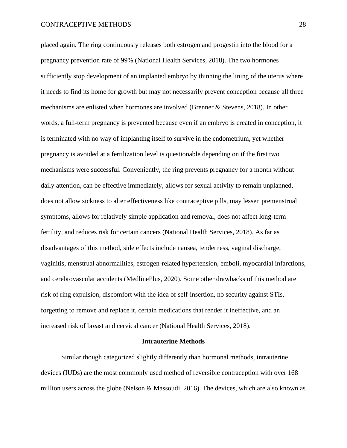placed again. The ring continuously releases both estrogen and progestin into the blood for a pregnancy prevention rate of 99% (National Health Services, 2018). The two hormones sufficiently stop development of an implanted embryo by thinning the lining of the uterus where it needs to find its home for growth but may not necessarily prevent conception because all three mechanisms are enlisted when hormones are involved (Brenner & Stevens, 2018). In other words, a full-term pregnancy is prevented because even if an embryo is created in conception, it is terminated with no way of implanting itself to survive in the endometrium, yet whether pregnancy is avoided at a fertilization level is questionable depending on if the first two mechanisms were successful. Conveniently, the ring prevents pregnancy for a month without daily attention, can be effective immediately, allows for sexual activity to remain unplanned, does not allow sickness to alter effectiveness like contraceptive pills, may lessen premenstrual symptoms, allows for relatively simple application and removal, does not affect long-term fertility, and reduces risk for certain cancers (National Health Services, 2018). As far as disadvantages of this method, side effects include nausea, tenderness, vaginal discharge, vaginitis, menstrual abnormalities, estrogen-related hypertension, emboli, myocardial infarctions, and cerebrovascular accidents (MedlinePlus, 2020). Some other drawbacks of this method are risk of ring expulsion, discomfort with the idea of self-insertion, no security against STIs, forgetting to remove and replace it, certain medications that render it ineffective, and an increased risk of breast and cervical cancer (National Health Services, 2018).

#### **Intrauterine Methods**

Similar though categorized slightly differently than hormonal methods, intrauterine devices (IUDs) are the most commonly used method of reversible contraception with over 168 million users across the globe (Nelson & Massoudi, 2016). The devices, which are also known as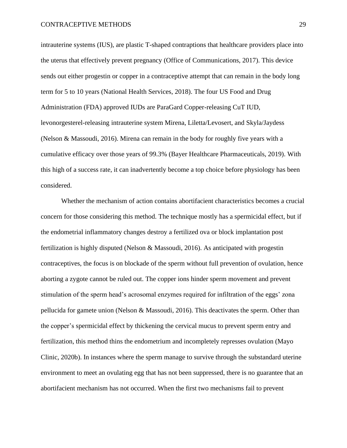intrauterine systems (IUS), are plastic T-shaped contraptions that healthcare providers place into the uterus that effectively prevent pregnancy (Office of Communications, 2017). This device sends out either progestin or copper in a contraceptive attempt that can remain in the body long term for 5 to 10 years (National Health Services, 2018). The four US Food and Drug Administration (FDA) approved IUDs are ParaGard Copper-releasing CuT IUD, levonorgesterel-releasing intrauterine system Mirena, Liletta/Levosert, and Skyla/Jaydess (Nelson & Massoudi, 2016). Mirena can remain in the body for roughly five years with a cumulative efficacy over those years of 99.3% (Bayer Healthcare Pharmaceuticals, 2019). With this high of a success rate, it can inadvertently become a top choice before physiology has been considered.

Whether the mechanism of action contains abortifacient characteristics becomes a crucial concern for those considering this method. The technique mostly has a spermicidal effect, but if the endometrial inflammatory changes destroy a fertilized ova or block implantation post fertilization is highly disputed (Nelson & Massoudi, 2016). As anticipated with progestin contraceptives, the focus is on blockade of the sperm without full prevention of ovulation, hence aborting a zygote cannot be ruled out. The copper ions hinder sperm movement and prevent stimulation of the sperm head's acrosomal enzymes required for infiltration of the eggs' zona pellucida for gamete union (Nelson & Massoudi, 2016). This deactivates the sperm. Other than the copper's spermicidal effect by thickening the cervical mucus to prevent sperm entry and fertilization, this method thins the endometrium and incompletely represses ovulation (Mayo Clinic, 2020b). In instances where the sperm manage to survive through the substandard uterine environment to meet an ovulating egg that has not been suppressed, there is no guarantee that an abortifacient mechanism has not occurred. When the first two mechanisms fail to prevent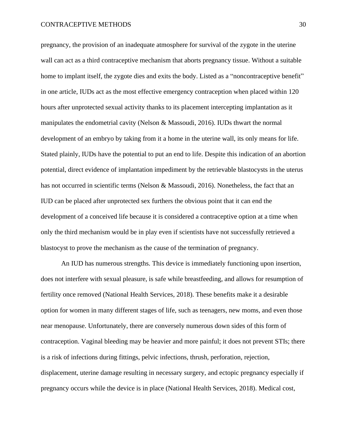pregnancy, the provision of an inadequate atmosphere for survival of the zygote in the uterine wall can act as a third contraceptive mechanism that aborts pregnancy tissue. Without a suitable home to implant itself, the zygote dies and exits the body. Listed as a "noncontraceptive benefit" in one article, IUDs act as the most effective emergency contraception when placed within 120 hours after unprotected sexual activity thanks to its placement intercepting implantation as it manipulates the endometrial cavity (Nelson & Massoudi, 2016). IUDs thwart the normal development of an embryo by taking from it a home in the uterine wall, its only means for life. Stated plainly, IUDs have the potential to put an end to life. Despite this indication of an abortion potential, direct evidence of implantation impediment by the retrievable blastocysts in the uterus has not occurred in scientific terms (Nelson & Massoudi, 2016). Nonetheless, the fact that an IUD can be placed after unprotected sex furthers the obvious point that it can end the development of a conceived life because it is considered a contraceptive option at a time when only the third mechanism would be in play even if scientists have not successfully retrieved a blastocyst to prove the mechanism as the cause of the termination of pregnancy.

An IUD has numerous strengths. This device is immediately functioning upon insertion, does not interfere with sexual pleasure, is safe while breastfeeding, and allows for resumption of fertility once removed (National Health Services, 2018). These benefits make it a desirable option for women in many different stages of life, such as teenagers, new moms, and even those near menopause. Unfortunately, there are conversely numerous down sides of this form of contraception. Vaginal bleeding may be heavier and more painful; it does not prevent STIs; there is a risk of infections during fittings, pelvic infections, thrush, perforation, rejection, displacement, uterine damage resulting in necessary surgery, and ectopic pregnancy especially if pregnancy occurs while the device is in place (National Health Services, 2018). Medical cost,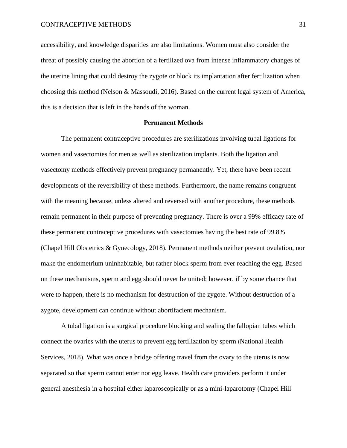accessibility, and knowledge disparities are also limitations. Women must also consider the threat of possibly causing the abortion of a fertilized ova from intense inflammatory changes of the uterine lining that could destroy the zygote or block its implantation after fertilization when choosing this method (Nelson & Massoudi, 2016). Based on the current legal system of America, this is a decision that is left in the hands of the woman.

#### **Permanent Methods**

The permanent contraceptive procedures are sterilizations involving tubal ligations for women and vasectomies for men as well as sterilization implants. Both the ligation and vasectomy methods effectively prevent pregnancy permanently. Yet, there have been recent developments of the reversibility of these methods. Furthermore, the name remains congruent with the meaning because, unless altered and reversed with another procedure, these methods remain permanent in their purpose of preventing pregnancy. There is over a 99% efficacy rate of these permanent contraceptive procedures with vasectomies having the best rate of 99.8% (Chapel Hill Obstetrics & Gynecology, 2018). Permanent methods neither prevent ovulation, nor make the endometrium uninhabitable, but rather block sperm from ever reaching the egg. Based on these mechanisms, sperm and egg should never be united; however, if by some chance that were to happen, there is no mechanism for destruction of the zygote. Without destruction of a zygote, development can continue without abortifacient mechanism.

A tubal ligation is a surgical procedure blocking and sealing the fallopian tubes which connect the ovaries with the uterus to prevent egg fertilization by sperm (National Health Services, 2018). What was once a bridge offering travel from the ovary to the uterus is now separated so that sperm cannot enter nor egg leave. Health care providers perform it under general anesthesia in a hospital either laparoscopically or as a mini-laparotomy (Chapel Hill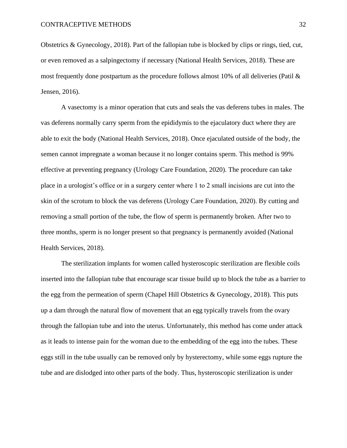Obstetrics & Gynecology, 2018). Part of the fallopian tube is blocked by clips or rings, tied, cut, or even removed as a salpingectomy if necessary (National Health Services, 2018). These are most frequently done postpartum as the procedure follows almost 10% of all deliveries (Patil  $\&$ Jensen, 2016).

A vasectomy is a minor operation that cuts and seals the vas deferens tubes in males. The vas deferens normally carry sperm from the epididymis to the ejaculatory duct where they are able to exit the body (National Health Services, 2018). Once ejaculated outside of the body, the semen cannot impregnate a woman because it no longer contains sperm. This method is 99% effective at preventing pregnancy (Urology Care Foundation, 2020). The procedure can take place in a urologist's office or in a surgery center where 1 to 2 small incisions are cut into the skin of the scrotum to block the vas deferens (Urology Care Foundation, 2020). By cutting and removing a small portion of the tube, the flow of sperm is permanently broken. After two to three months, sperm is no longer present so that pregnancy is permanently avoided (National Health Services, 2018).

The sterilization implants for women called hysteroscopic sterilization are flexible coils inserted into the fallopian tube that encourage scar tissue build up to block the tube as a barrier to the egg from the permeation of sperm (Chapel Hill Obstetrics  $\&$  Gynecology, 2018). This puts up a dam through the natural flow of movement that an egg typically travels from the ovary through the fallopian tube and into the uterus. Unfortunately, this method has come under attack as it leads to intense pain for the woman due to the embedding of the egg into the tubes. These eggs still in the tube usually can be removed only by hysterectomy, while some eggs rupture the tube and are dislodged into other parts of the body. Thus, hysteroscopic sterilization is under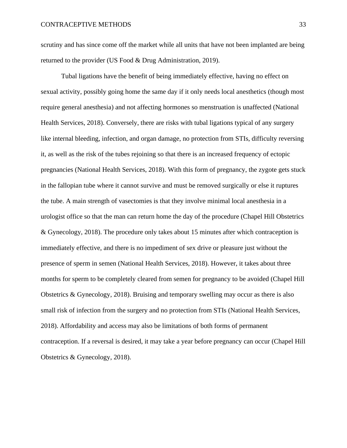scrutiny and has since come off the market while all units that have not been implanted are being returned to the provider (US Food & Drug Administration, 2019).

Tubal ligations have the benefit of being immediately effective, having no effect on sexual activity, possibly going home the same day if it only needs local anesthetics (though most require general anesthesia) and not affecting hormones so menstruation is unaffected (National Health Services, 2018). Conversely, there are risks with tubal ligations typical of any surgery like internal bleeding, infection, and organ damage, no protection from STIs, difficulty reversing it, as well as the risk of the tubes rejoining so that there is an increased frequency of ectopic pregnancies (National Health Services, 2018). With this form of pregnancy, the zygote gets stuck in the fallopian tube where it cannot survive and must be removed surgically or else it ruptures the tube. A main strength of vasectomies is that they involve minimal local anesthesia in a urologist office so that the man can return home the day of the procedure (Chapel Hill Obstetrics & Gynecology, 2018). The procedure only takes about 15 minutes after which contraception is immediately effective, and there is no impediment of sex drive or pleasure just without the presence of sperm in semen (National Health Services, 2018). However, it takes about three months for sperm to be completely cleared from semen for pregnancy to be avoided (Chapel Hill Obstetrics & Gynecology, 2018). Bruising and temporary swelling may occur as there is also small risk of infection from the surgery and no protection from STIs (National Health Services, 2018). Affordability and access may also be limitations of both forms of permanent contraception. If a reversal is desired, it may take a year before pregnancy can occur (Chapel Hill Obstetrics & Gynecology, 2018).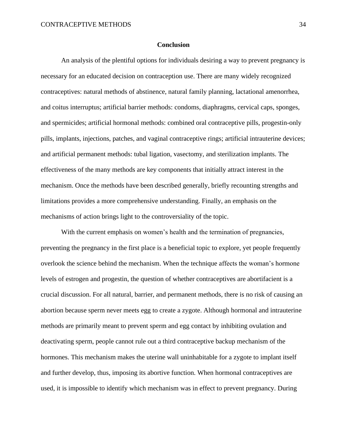#### **Conclusion**

An analysis of the plentiful options for individuals desiring a way to prevent pregnancy is necessary for an educated decision on contraception use. There are many widely recognized contraceptives: natural methods of abstinence, natural family planning, lactational amenorrhea, and coitus interruptus; artificial barrier methods: condoms, diaphragms, cervical caps, sponges, and spermicides; artificial hormonal methods: combined oral contraceptive pills, progestin-only pills, implants, injections, patches, and vaginal contraceptive rings; artificial intrauterine devices; and artificial permanent methods: tubal ligation, vasectomy, and sterilization implants. The effectiveness of the many methods are key components that initially attract interest in the mechanism. Once the methods have been described generally, briefly recounting strengths and limitations provides a more comprehensive understanding. Finally, an emphasis on the mechanisms of action brings light to the controversiality of the topic.

With the current emphasis on women's health and the termination of pregnancies, preventing the pregnancy in the first place is a beneficial topic to explore, yet people frequently overlook the science behind the mechanism. When the technique affects the woman's hormone levels of estrogen and progestin, the question of whether contraceptives are abortifacient is a crucial discussion. For all natural, barrier, and permanent methods, there is no risk of causing an abortion because sperm never meets egg to create a zygote. Although hormonal and intrauterine methods are primarily meant to prevent sperm and egg contact by inhibiting ovulation and deactivating sperm, people cannot rule out a third contraceptive backup mechanism of the hormones. This mechanism makes the uterine wall uninhabitable for a zygote to implant itself and further develop, thus, imposing its abortive function. When hormonal contraceptives are used, it is impossible to identify which mechanism was in effect to prevent pregnancy. During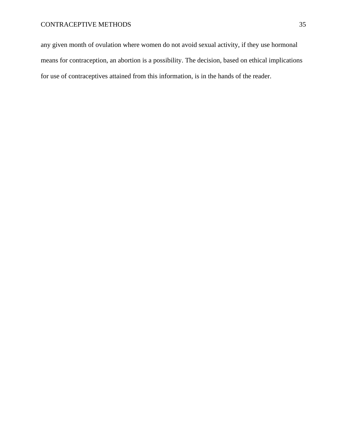any given month of ovulation where women do not avoid sexual activity, if they use hormonal means for contraception, an abortion is a possibility. The decision, based on ethical implications for use of contraceptives attained from this information, is in the hands of the reader.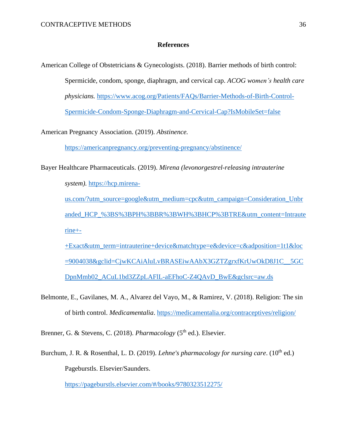# **References**

American College of Obstetricians & Gynecologists. (2018). Barrier methods of birth control: Spermicide, condom, sponge, diaphragm, and cervical cap. *ACOG women's health care physicians.* [https://www.acog.org/Patients/FAQs/Barrier-Methods-of-Birth-Control-](https://www.acog.org/Patients/FAQs/Barrier-Methods-of-Birth-Control-Spermicide-Condom-Sponge-Diaphragm-and-Cervical-Cap?IsMobileSet=false)[Spermicide-Condom-Sponge-Diaphragm-and-Cervical-Cap?IsMobileSet=false](https://www.acog.org/Patients/FAQs/Barrier-Methods-of-Birth-Control-Spermicide-Condom-Sponge-Diaphragm-and-Cervical-Cap?IsMobileSet=false)

American Pregnancy Association. (2019). *Abstinence.*

<https://americanpregnancy.org/preventing-pregnancy/abstinence/>

Bayer Healthcare Pharmaceuticals. (2019). *Mirena (levonorgestrel-releasing intrauterine system).* [https://hcp.mirena-](https://hcp.mirena-us.com/?utm_source=google&utm_medium=cpc&utm_campaign=Consideration_Unbranded_HCP_%3BS%3BPH%3BBR%3BWH%3BHCP%3BTRE&utm_content=Intrauterine+-+Exact&utm_term=intrauterine+device&matchtype=e&device=c&adposition=1t1&loc=9004038&gclid=CjwKCAiAluLvBRASEiwAAbX3GZTZgrxfKrUwOkD8J1C__5GCDpnMmb02_ACuL1bd3ZZpLAFlL-aEFhoC-Z4QAvD_BwE&gclsrc=aw.ds)

[us.com/?utm\\_source=google&utm\\_medium=cpc&utm\\_campaign=Consideration\\_Unbr](https://hcp.mirena-us.com/?utm_source=google&utm_medium=cpc&utm_campaign=Consideration_Unbranded_HCP_%3BS%3BPH%3BBR%3BWH%3BHCP%3BTRE&utm_content=Intrauterine+-+Exact&utm_term=intrauterine+device&matchtype=e&device=c&adposition=1t1&loc=9004038&gclid=CjwKCAiAluLvBRASEiwAAbX3GZTZgrxfKrUwOkD8J1C__5GCDpnMmb02_ACuL1bd3ZZpLAFlL-aEFhoC-Z4QAvD_BwE&gclsrc=aw.ds) [anded\\_HCP\\_%3BS%3BPH%3BBR%3BWH%3BHCP%3BTRE&utm\\_content=Intraute](https://hcp.mirena-us.com/?utm_source=google&utm_medium=cpc&utm_campaign=Consideration_Unbranded_HCP_%3BS%3BPH%3BBR%3BWH%3BHCP%3BTRE&utm_content=Intrauterine+-+Exact&utm_term=intrauterine+device&matchtype=e&device=c&adposition=1t1&loc=9004038&gclid=CjwKCAiAluLvBRASEiwAAbX3GZTZgrxfKrUwOkD8J1C__5GCDpnMmb02_ACuL1bd3ZZpLAFlL-aEFhoC-Z4QAvD_BwE&gclsrc=aw.ds)  $rine++$ 

[+Exact&utm\\_term=intrauterine+device&matchtype=e&device=c&adposition=1t1&loc](https://hcp.mirena-us.com/?utm_source=google&utm_medium=cpc&utm_campaign=Consideration_Unbranded_HCP_%3BS%3BPH%3BBR%3BWH%3BHCP%3BTRE&utm_content=Intrauterine+-+Exact&utm_term=intrauterine+device&matchtype=e&device=c&adposition=1t1&loc=9004038&gclid=CjwKCAiAluLvBRASEiwAAbX3GZTZgrxfKrUwOkD8J1C__5GCDpnMmb02_ACuL1bd3ZZpLAFlL-aEFhoC-Z4QAvD_BwE&gclsrc=aw.ds) [=9004038&gclid=CjwKCAiAluLvBRASEiwAAbX3GZTZgrxfKrUwOkD8J1C\\_\\_5GC](https://hcp.mirena-us.com/?utm_source=google&utm_medium=cpc&utm_campaign=Consideration_Unbranded_HCP_%3BS%3BPH%3BBR%3BWH%3BHCP%3BTRE&utm_content=Intrauterine+-+Exact&utm_term=intrauterine+device&matchtype=e&device=c&adposition=1t1&loc=9004038&gclid=CjwKCAiAluLvBRASEiwAAbX3GZTZgrxfKrUwOkD8J1C__5GCDpnMmb02_ACuL1bd3ZZpLAFlL-aEFhoC-Z4QAvD_BwE&gclsrc=aw.ds) [DpnMmb02\\_ACuL1bd3ZZpLAFlL-aEFhoC-Z4QAvD\\_BwE&gclsrc=aw.ds](https://hcp.mirena-us.com/?utm_source=google&utm_medium=cpc&utm_campaign=Consideration_Unbranded_HCP_%3BS%3BPH%3BBR%3BWH%3BHCP%3BTRE&utm_content=Intrauterine+-+Exact&utm_term=intrauterine+device&matchtype=e&device=c&adposition=1t1&loc=9004038&gclid=CjwKCAiAluLvBRASEiwAAbX3GZTZgrxfKrUwOkD8J1C__5GCDpnMmb02_ACuL1bd3ZZpLAFlL-aEFhoC-Z4QAvD_BwE&gclsrc=aw.ds)

Belmonte, E., Gavilanes, M. A., Alvarez del Vayo, M., & Ramirez, V. (2018). Religion: The sin of birth control. *Medicamentalia*.<https://medicamentalia.org/contraceptives/religion/>

Brenner, G. & Stevens, C. (2018). *Pharmacology* (5<sup>th</sup> ed.). Elsevier.

Burchum, J. R. & Rosenthal, L. D. (2019). *Lehne's pharmacology for nursing care*. (10<sup>th</sup> ed.) Pageburstls. Elsevier/Saunders.

<https://pageburstls.elsevier.com/#/books/9780323512275/>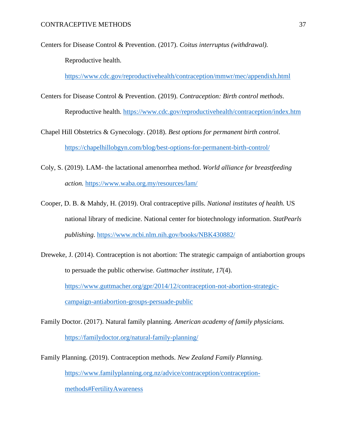Centers for Disease Control & Prevention. (2017). *Coitus interruptus (withdrawal).* Reproductive health.

<https://www.cdc.gov/reproductivehealth/contraception/mmwr/mec/appendixh.html>

- Centers for Disease Control & Prevention. (2019). *Contraception: Birth control methods*. Reproductive health.<https://www.cdc.gov/reproductivehealth/contraception/index.htm>
- Chapel Hill Obstetrics & Gynecology. (2018). *Best options for permanent birth control.* <https://chapelhillobgyn.com/blog/best-options-for-permanent-birth-control/>
- Coly, S. (2019). LAM- the lactational amenorrhea method. *World alliance for breastfeeding action.* <https://www.waba.org.my/resources/lam/>
- Cooper, D. B. & Mahdy, H. (2019). Oral contraceptive pills. *National institutes of health.* US national library of medicine. National center for biotechnology information. *StatPearls publishing*.<https://www.ncbi.nlm.nih.gov/books/NBK430882/>
- Dreweke, J. (2014). Contraception is not abortion: The strategic campaign of antiabortion groups to persuade the public otherwise. *Guttmacher institute, 17*(4). [https://www.guttmacher.org/gpr/2014/12/contraception-not-abortion-strategic](https://www.guttmacher.org/gpr/2014/12/contraception-not-abortion-strategic-campaign-antiabortion-groups-persuade-public)[campaign-antiabortion-groups-persuade-public](https://www.guttmacher.org/gpr/2014/12/contraception-not-abortion-strategic-campaign-antiabortion-groups-persuade-public)
- Family Doctor. (2017). Natural family planning. *American academy of family physicians.* <https://familydoctor.org/natural-family-planning/>
- Family Planning. (2019). Contraception methods. *New Zealand Family Planning.* [https://www.familyplanning.org.nz/advice/contraception/contraception](https://www.familyplanning.org.nz/advice/contraception/contraception-methods#FertilityAwareness)[methods#FertilityAwareness](https://www.familyplanning.org.nz/advice/contraception/contraception-methods#FertilityAwareness)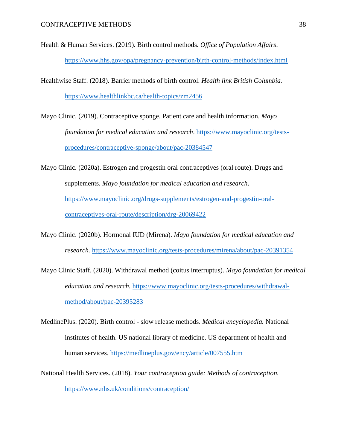- Health & Human Services. (2019). Birth control methods*. Office of Population Affairs*. <https://www.hhs.gov/opa/pregnancy-prevention/birth-control-methods/index.html>
- Healthwise Staff. (2018). Barrier methods of birth control. *Health link British Columbia.* <https://www.healthlinkbc.ca/health-topics/zm2456>
- Mayo Clinic. (2019). Contraceptive sponge. Patient care and health information. *Mayo foundation for medical education and research*. [https://www.mayoclinic.org/tests](https://www.mayoclinic.org/tests-procedures/contraceptive-sponge/about/pac-20384547)[procedures/contraceptive-sponge/about/pac-20384547](https://www.mayoclinic.org/tests-procedures/contraceptive-sponge/about/pac-20384547)
- Mayo Clinic. (2020a). Estrogen and progestin oral contraceptives (oral route). Drugs and supplements. *Mayo foundation for medical education and research*. [https://www.mayoclinic.org/drugs-supplements/estrogen-and-progestin-oral](https://www.mayoclinic.org/drugs-supplements/estrogen-and-progestin-oral-contraceptives-oral-route/description/drg-20069422)[contraceptives-oral-route/description/drg-20069422](https://www.mayoclinic.org/drugs-supplements/estrogen-and-progestin-oral-contraceptives-oral-route/description/drg-20069422)
- Mayo Clinic. (2020b). Hormonal IUD (Mirena). *Mayo foundation for medical education and research.* <https://www.mayoclinic.org/tests-procedures/mirena/about/pac-20391354>
- Mayo Clinic Staff. (2020). Withdrawal method (coitus interruptus). *Mayo foundation for medical education and research.* [https://www.mayoclinic.org/tests-procedures/withdrawal](https://www.mayoclinic.org/tests-procedures/withdrawal-method/about/pac-20395283)[method/about/pac-20395283](https://www.mayoclinic.org/tests-procedures/withdrawal-method/about/pac-20395283)
- MedlinePlus. (2020). Birth control slow release methods. *Medical encyclopedia.* National institutes of health. US national library of medicine. US department of health and human services.<https://medlineplus.gov/ency/article/007555.htm>
- National Health Services. (2018). *Your contraception guide: Methods of contraception.* <https://www.nhs.uk/conditions/contraception/>